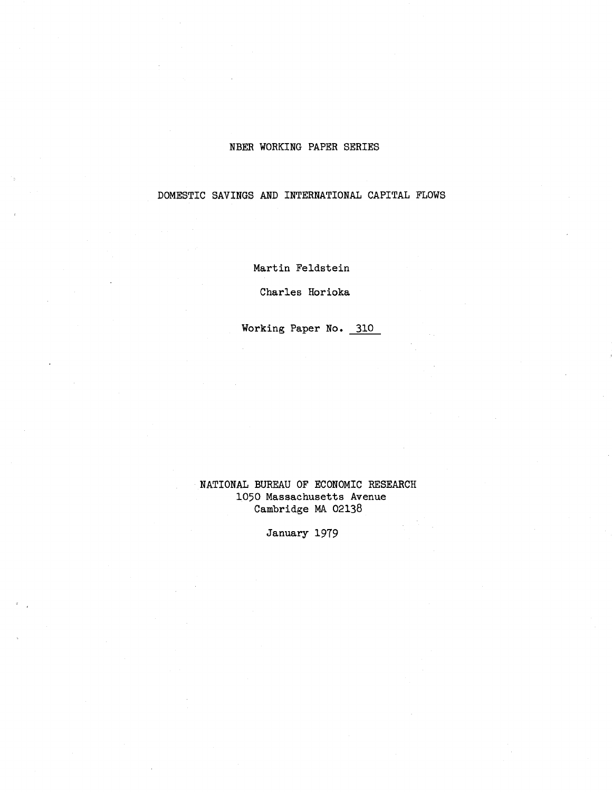## NBER WORKING PAPER SERIES

DOMESTIC SAVINGS AND INTERNATIONAL CAPITAL FLOWS

Martin Feldstein

Charles Horioka

Working Paper No. 310

## NATIONAL BUREAU OF ECONOMIC RESEARCH 1050 Massachusetts Avenue Cambridge MA 02138

January 1979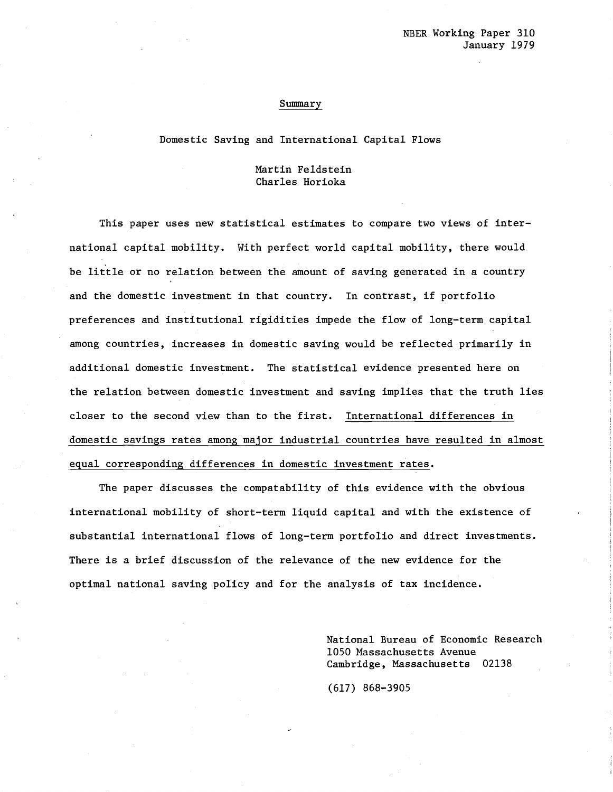#### Summary

#### Domestic Saving and International Capital Flows

### Martin Feldstein Charles Horioka

This paper uses new statistical estimates to compare two views of international capital mobility. With perfect world capital mobility, there would be little or no relation between the amount of saving generated in <sup>a</sup> country and the domestic investment in that country. In contrast, if portfolio preferences and institutional rigidities impede the flow of long-term capital among countries, increases in domestic saving would be reflected primarily in additional domestic investment. The statistical evidence presented here on the relation between domestic investment and saving implies that the truth lies closer to the second view than to the first. International differences in domestic savings rates among major industrial countries have resulted in almost equal corresponding differences in domestic investment rates.

The paper discusses the compatability of this evidence with the obvious international mobility of short-term liquid capital and with the existence of substantial international flows of long-term portfolio and direct investments. There is a brief discussion of the relevance of the new evidence for the optimal national saving policy and for the analysis of tax incidence.

> National Bureau of Economic Research 1050 Massachusetts Avenue Cambridge, Massachusetts 02138

(617) 868-3905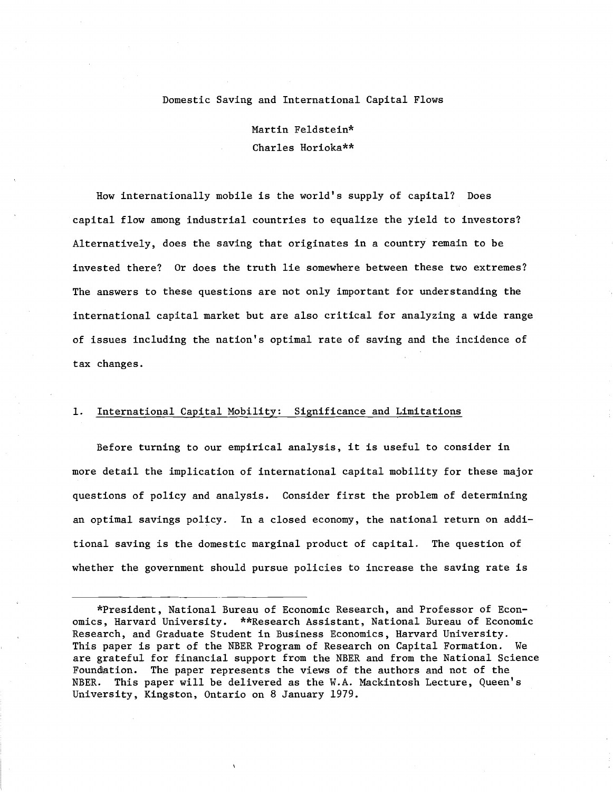### Domestic Saving and International Capital Flows

Martin Feldstein\* Charles Horioka\*\*

How internationally mobile is the world's supply of capital? Does capital flow among industrial countries to equalize the yield to investors? Alternatively, does the saving that originates in a country remain to be invested there? Or does the truth lie somewhere between these two extremes? The answers to these questions are not only important for understanding the international capital market but are also critical for analyzing a wide range of issues including the nation's optimal rate of saving and the incidence of tax changes.

### 1. International Capital Mobility: Significance and Limitations

Before turning to our empirical analysis, it is useful to consider in more detail the implication of international capital mobility for these major questions of policy and analysis. Consider first the problem of determining an optimal savings policy. In a closed economy, the national return on additional saving is the domestic marginal product of capital. The question of whether the government should pursue policies to increase the saving rate is

<sup>\*</sup>President, National Bureau of Economic Research, and Professor of Economics, Harvard University. \*\*Research Assistant, National Bureau of Economic Research, and Graduate Student in Business Economics, Harvard University. This paper is part of the NBER Program of Research on Capital Formation. We are grateful for financial support from the NBER and from the National Science Foundation. The paper represents the views of the authors and not of the NBER. This paper will be delivered as the W.A. Mackintosh Lecture, Queen's University, Kingston, Ontario on 8 January 1979.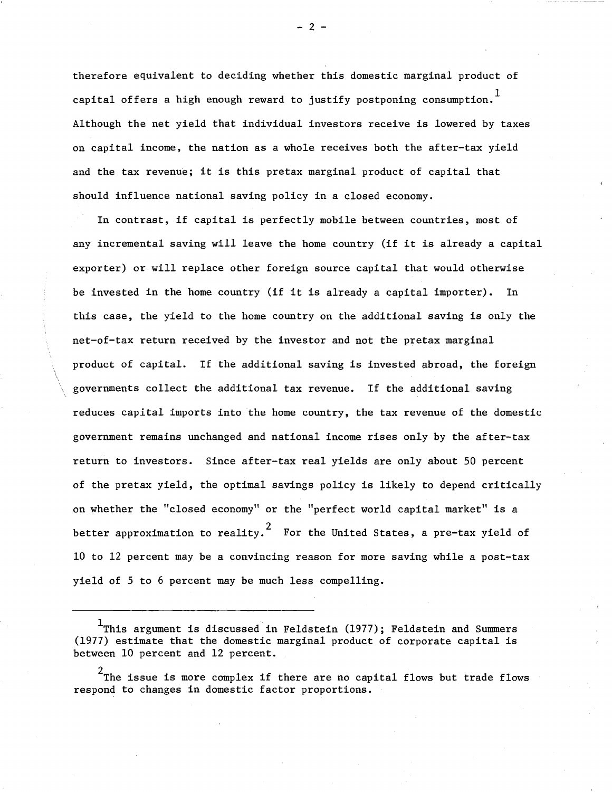therefore equivalent to deciding whether this domestic marginal product of capital offers a high enough reward to justify postponing consumption.  $^{\text{1}}$ Although the net yield that individual investors receive is lowered by taxes on capital income, the nation as a whole receives both the after-tax yield and the tax revenue; it is this pretax marginal product of capital that should influence national saving policy in a closed economy.

In contrast, if capital is perfectly mobile between countries, most of any incremental saving will leave the home country (if it is already <sup>a</sup> capital exporter) or will replace other foreign source capital that would otherwise be invested in the home country (if it is already <sup>a</sup> capital importer). In this case, the yield to the home country on the additional saving is only the net-of-tax return received by the investor and not the pretax marginal product of capital. If the additional saving is invested abroad, the foreign governments collect the additional tax revenue. If the additional saving reduces capital imports into the home country, the tax revenue of the domestic government remains unchanged and national income rises only by the after-tax return to investors. Since after-tax real yields are only about 50 percent of the pretax yield, the optimal savings policy is likely to depend critically on whether the "closed economy" or the "perfect world capital market" is a better approximation to reality. For the United States, a pre-tax yield of 10 to 12 percent may be a convincing reason for more saving while a post-tax yield of 5 to 6 percent may be much less compelling.

 $^1$ This argument is discussed in Feldstein (1977); Feldstein and Summers (1977) estimate that the domestic marginal product of corporate capital is between 10 percent and 12 percent.

 $^2$ The issue is more complex if there are no capital flows but trade flows respond to changes in domestic factor proportions.

 $-2 -$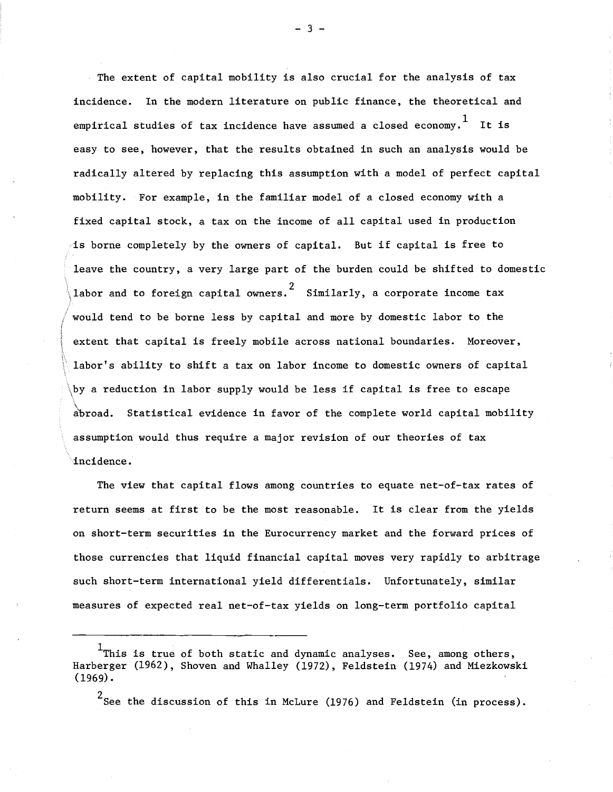$\backslash$ labor and to foreign capital owners. $^2$  Similarly, a corporate income tax The extent of capital mobility is also crucial for the analysis of tax incidence. In the modern literature on public finance, the theoretical and empirical studies of tax incidence have assumed a closed economy.<sup>1</sup> It is easy to see, however, that the results obtained in such an analysis would be radically altered by replacing this assumption with a model of perfect capital mobility. For example, in the familiar model of a closed economy with a fixed capital stock, <sup>a</sup> tax on the income of all capital used in production is borne completely by the owners of capital. But if capital is free to leave the country, a very large part of the burden could be shifted to domestic *<sup>i</sup>* would tend to be borne less by capital and more by domestic labor to the extent that capital is freely mobile across national boundaries. Moreover, labor's ability to shift a tax on labor income to domestic owners of capital \by <sup>a</sup> reduction in labor supply would be less if capital is free to escape  $\overline{\overline{\mathcal{C}}}$  abroad. Statistical evidence in favor of the complete world capital mobility assumption would thus require a major revision of our theories of tax .incidence.

 $\ddot{\phi}$ 

The view that capital flows among countries to equate net-of-tax rates of return seems at first to be the most reasonable. It is clear from the yields on short-term securities in the Eurocurrency market and the forward prices of those currencies that liquid financial capital moves very rapidly to arbitrage such short-term international yield differentials. Unfortunately, similar measures of expected real net-of-tax yields on long-term portfolio capital

 $^2$ See the discussion of this in McLure (1976) and Feldstein (in process).

- 3 -

 $1$ This is true of both static and dynamic analyses. See, among others, Harberger (1962), Shoven and Whalley (1972), Feldstein (1974) and Miezkowski  $(1969)$ .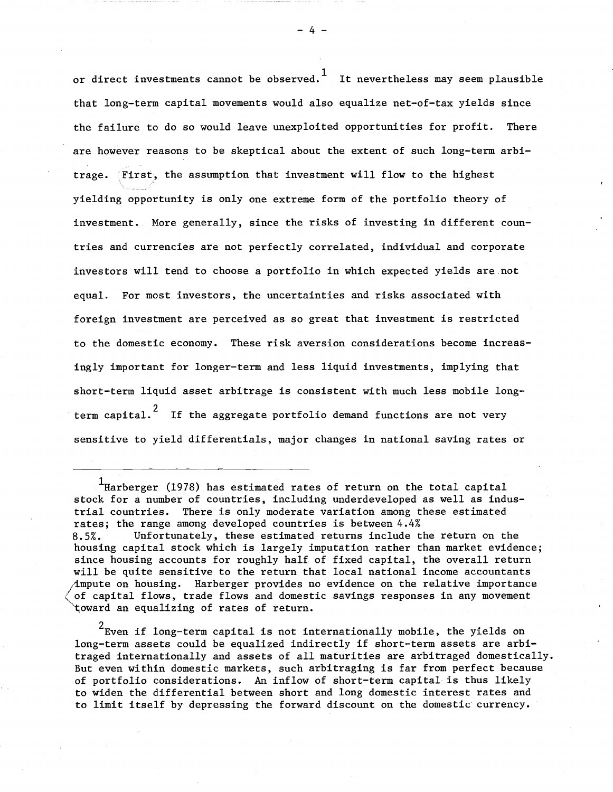or direct investments cannot be observed.<sup>1</sup> It nevertheless may seem plausible that long-term capital movements would also equalize net-of-tax yields since the failure to do so would leave unexploited opportunities for profit. There are however reasons to be skeptical about the extent of such long-term arbitrage. First, the assumption that investment will flow to the highest yielding opportunity is only one extreme form of the portfolio theory of investment. More generally, since the risks of investing in different countries and currencies are not perfectly correlated, individual and corporate investors will tend to choose a portfolio in which expected yields are.not equal. For most investors, the uncertainties and risks associated with foreign investment are perceived as so great that investment is restricted to the domestic economy. These risk aversion considerations become increasingly important for longer-term and less liquid investments, implying that short-term liquid asset arbitrage is consistent with much less mobile longterm capital.<sup>2</sup> If the aggregate portfolio demand functions are not very sensitive to yield differentials, major changes in national saving rates or

<sup>1</sup>Harberger (1978) has estimated rates of return on the total capital stock for a number of countries, including underdeveloped as well as industrial countries. There is only moderate variation among these estimated rates; the range among developed countries is between 4.4% 8.5%. Unfortunately, these estimated returns include the return on the housing capital stock which is largely imputation rather than market evidence; since housing accounts for roughly half of fixed capital, the overall return will be quite sensitive to the return that local national income accountants (impute on housing. Harberger provides no evidence on the relative importance of capital flows, trade flows and domestic savings responses in any movement toward an equalizing of rates of return.

 $2$ Even if long-term capital is not internationally mobile, the yields on long-term assets could be equalized indirectly if short-term assets are arbitraged internationally and assets of all maturities are arbitraged domestically. But even within domestic markets, such arbitraging is far from perfect because of portfolio considerations. An inflow of short-term capital is thus likely to widen the differential between short and long domestic interest rates and to limit itself by depressing the forward discount on the domestic currency.

- 4 -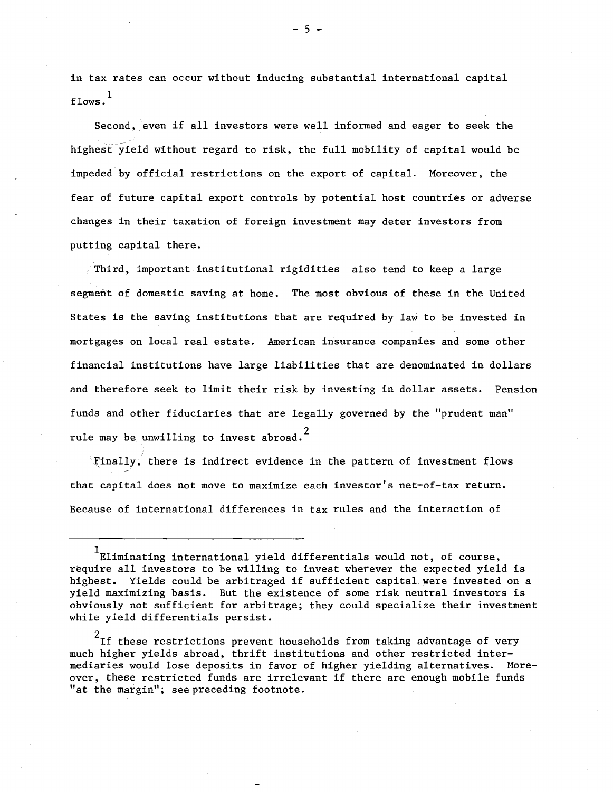in tax rates can occur without inducing substantial international capital  $1$  flows.

Second, even if all investors were well informed and eager to seek the highest yield without regard to risk, the full mobility of capital would be impeded by official restrictions on the export of capital. Moreover, the fear of future capital export controls by potential host countries or adverse changes in their taxation of foreign investment may deter investors from putting capital there.

Third, important institutional rigidities also tend to keep a large segment of domestic saving at home. The most obvious of these in the United States is the saving institutions that are required by law to be invested in mortgages on local real estate. American insurance companies and some other financial institutions have large liabilities that are denominated in dollars and therefore seek to limit their risk by investing in dollar assets. Pension funds and other fiduciaries that are legally governed by the "prudent man" rule may be unwilling to invest abroad.<sup>2</sup>

 $\in$  Finally, there is indirect evidence in the pattern of investment flows that capital does not move to maximize each investor's net-of-tax return. Because of international differences in tax rules and the interaction of

 $1$ Eliminating international yield differentials would not, of course, require all investors to be willing to invest wherever the expected yield is highest. Yields could be arbitraged if sufficient capital were invested on <sup>a</sup> yield maximizing basis. But the existence of some risk neutral investors is obviously not sufficient for arbitrage; they could specialize their investment while yield differentials persist.

 $2$ If these restrictions prevent households from taking advantage of very much higher yields abroad, thrift institutions and other restricted intermediaries would lose deposits in favor of higher yielding alternatives. Moreover, these restricted funds are irrelevant if there are enough mobile funds "at the margin"; see preceding footnote.

- 5 -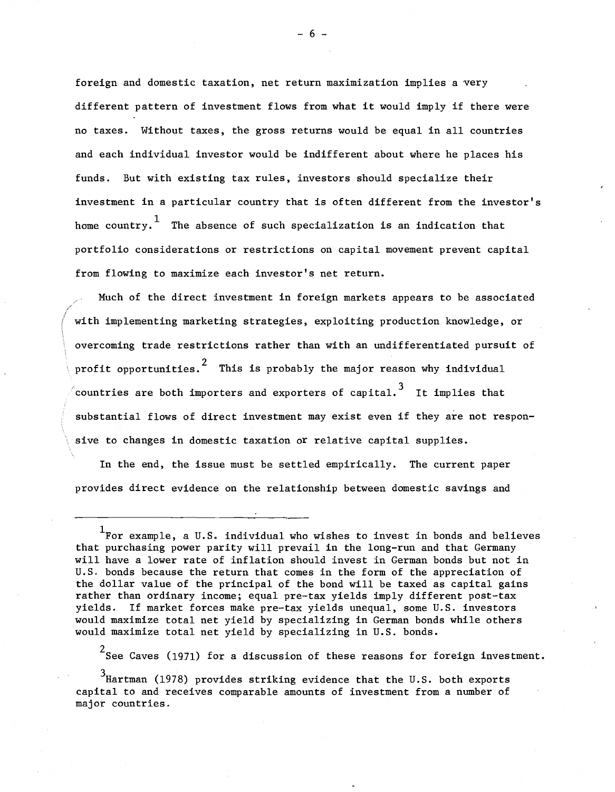foreign and domestic taxation, net return maximization implies a very different pattern of investment flows from what it would imply if there were no taxes. Without taxes, the gross returns would be equal in all countries and each individual investor would be indifferent about where he places his funds. But with existing tax rules, investors should specialize their investment in a particular country that is often different from the investor's home country.<sup>1</sup> The absence of such specialization is an indication that portfolio considerations or restrictions on capital movement prevent capital from flowing to maximize each investor's net return.

Much of the direct investment in foreign markets appears to be associated with implementing marketing strategies, exploiting production knowledge, or overcoming trade restrictions rather than with an undifferentiated pursuit of profit opportunities.<sup>2</sup> This is probably the major reason why individual  $\alpha$  countries are both importers and exporters of capital.  $\,$  It implies that substantial flows of direct investment may exist even if they are not responsive to changes in domestic taxation or relative capital supplies.

In the end, the issue must be settled empirically. The current paper provides direct evidence on the relationship between domestic savings and

2 See Caves (1971) for a discussion of these reasons for foreign investment.

 $3$ Hartman (1978) provides striking evidence that the U.S. both exports capital to and receives comparable amounts of investment from a number of major countries.

- 6 -

 $1$ For example, a U.S. individual who wishes to invest in bonds and believes that purchasing power parity will prevail in the long-run and that Germany will have a lower rate of inflation should invest in German bonds but not in U.S. bonds because the return that comes in the form of the appreciation of the dollar value of the principal of the bond will be taxed as capital gains rather than ordinary income; equal pre-tax yields imply different post-tax yields. If market forces make pre-tax yields unequal, some U.S. investors would maximize total net yield by specializing in German bonds while others would maximize total net yield by specializing in U.S. bonds.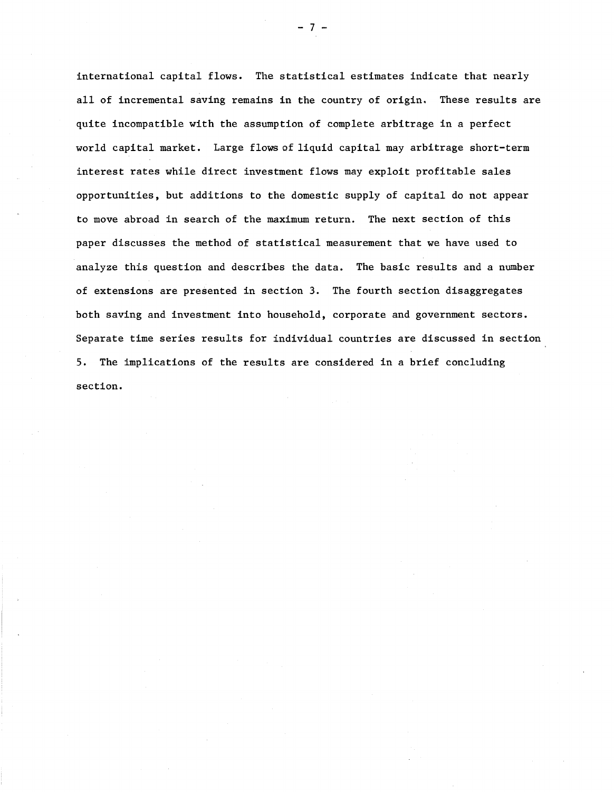international capital flows. The statistical estimates indicate that nearly all of incremental saving remains in the country of origin. These results are quite incompatible with the assumption of complete arbitrage in a perfect world capital market. Large flows of liquid capital may arbitrage short-term interest rates while direct investment flows may exploit profitable sales opportunities, but additions to the domestic supply of capital do not appear to move abroad in search of the maximum return. The next section of this paper discusses the method of statistical measurement that we have used to analyze this question and describes the data. The basic results and a number of extensions are presented in section 3. The fourth section disaggregates both saving and investment into household, corporate and government sectors. Separate time series results for individual countries are discussed in section 5. The implications of the results are considered in a brief concluding section.

- 7 -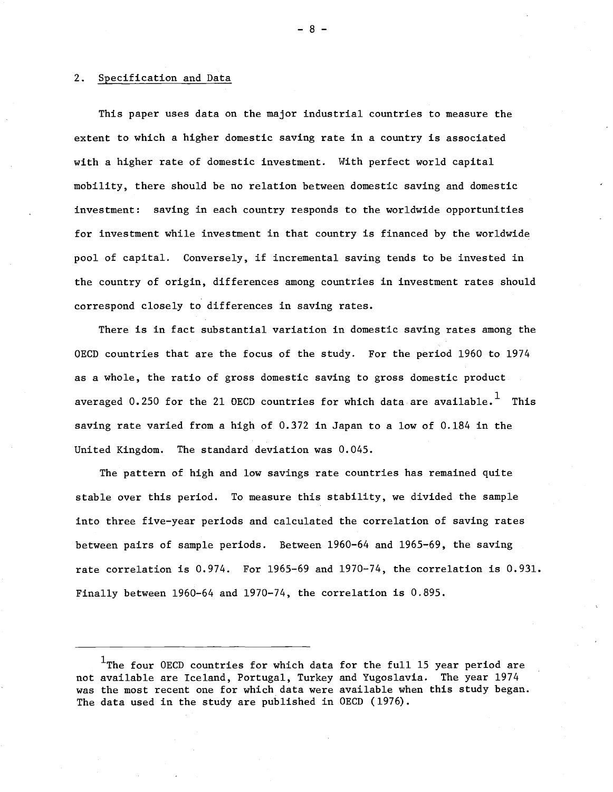### 2. Specification and Data

This paper uses data on the major industrial countries to measure the extent to which a higher domestic saving rate in a country is associated with a higher rate of domestic investment. With perfect world capital mobility, there should be no relation between domestic saving and domestic investment: saving in each country responds to the worldwide opportunities for investment while investment in that country is financed by the worldwide pool of capital. Conversely, if incremental saving tends to be invested in the country of origin, differences among countries in investment rates should correspond closely to differences in saving rates.

There is in fact substantial variation in domestic saving rates among the *DECD* countries that are the focus of the study. For the period 1960 to 1974 as a whole, the ratio of gross domestic saving to gross domestic product averaged 0.250 for the 21 OECD countries for which data are available.<sup>1</sup> This saving rate varied from a high of 0.372 in Japan to a low of 0.184 in the United Kingdom. The standard deviation was 0.045.

The pattern of high and low savings rate countries has remained quite stable over this period. To measure this stability, we divided the sample into three five-year periods and calculated the correlation of saving rates between pairs of sample periods. Between 1960-64 and 1965-69, the saving rate correlation is 0.974. For 1965-69 and 1970-74, the correlation is 0.931. Finally between 1960-64 and 1970-74, the correlation is 0.895.

- 8 -

<sup>&</sup>lt;sup>1</sup>The four OECD countries for which data for the full 15 year period are not available are Iceland, Portugal, Turkey and Yugoslavia. The year 1974 was the most recent one for which data were available when this study began. The data used in the study are published in *DECD (1976).*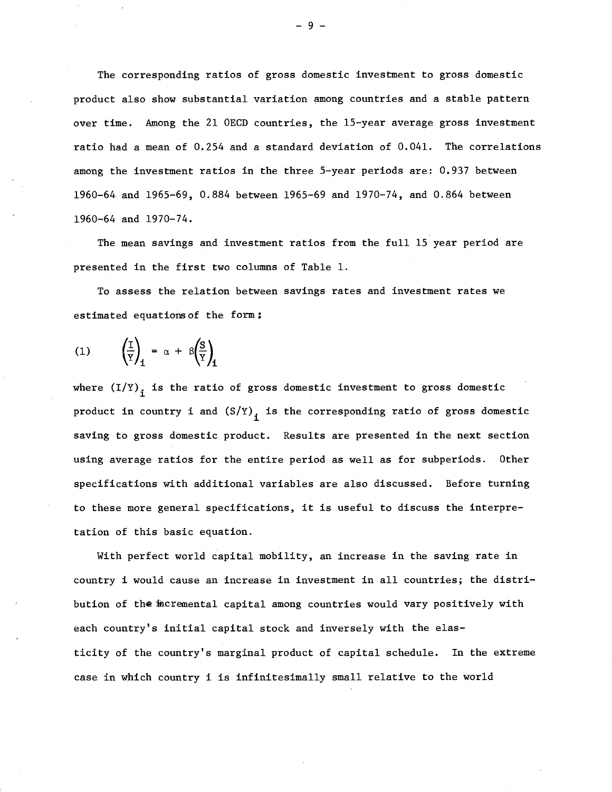The corresponding ratios of gross domestic investment to gross domestic product also show substantial variation among countries and a stable pattern over time. Among the 21 OECD countries, the 15-year average gross investment ratio had a mean of 0.254 and a standard deviation of 0.041. The correlations among the investment ratios in the three 5-year periods are: 0.937 between 1960-64 and 1965-69, 0.884 between 1965-69 and 1970-74, and 0.864 between 1960-64 and 1970-74.

The mean savings and investment ratios from the full 15 year period are presented in the first two columns of Table 1.

To assess the relation between savings rates and investment rates we estimated equations of the form:

$$
(1) \qquad \left(\frac{1}{Y}\right)_{\mathbf{i}} = \alpha + \beta \left(\frac{S}{Y}\right)_{\mathbf{i}}
$$

where  $(I/Y)$ <sub>;</sub> is the ratio of gross domestic investment to gross domestic product in country i and  $(S/Y)_i$  is the corresponding ratio of gross domestic saving to gross domestic product. Results are presented in the next section using average ratios for the entire period as well as for subperiods. Other specifications with additional variables are also discussed. Before turning to these more general specifications, it is useful to discuss the interpretation of this basic equation.

With perfect world capital mobility, an increase in the saving rate in country i would cause an increase in investment in all countries; the distribution of the incremental capital among countries would vary positively with each country's initial capital stock and inversely with the elasticity of the country's marginal product of capital schedule. In the extreme case in which country i is infinitesimally small relative to the world

- 9 -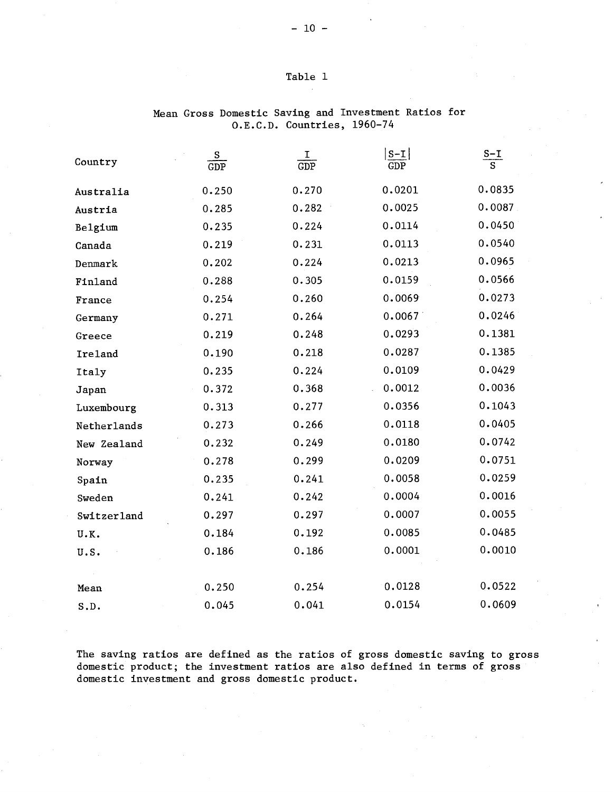## Table 1

| Country     | S<br>$\overline{\text{GDP}}$ | Ι<br>$\overline{\text{GDP}}$ | $S-I$<br>$\overline{\text{GDP}}$ | $\frac{S-I}{S}$ |
|-------------|------------------------------|------------------------------|----------------------------------|-----------------|
| Australia   | 0.250                        | 0.270                        | 0.0201                           | 0.0835          |
| Austria     | 0.285                        | 0.282                        | 0.0025                           | 0.0087          |
| Belgium     | 0.235                        | 0.224                        | 0.0114                           | 0.0450          |
| Canada      | 0.219                        | 0.231                        | 0.0113                           | 0.0540          |
| Denmark     | 0.202                        | 0.224                        | 0.0213                           | 0.0965          |
| Finland     | 0.288                        | 0.305                        | 0.0159                           | 0.0566          |
| France      | 0.254                        | 0.260                        | 0.0069                           | 0.0273          |
| Germany     | 0.271                        | 0.264                        | 0.0067                           | 0.0246          |
| Greece      | 0.219                        | 0.248                        | 0.0293                           | 0.1381          |
| Ireland     | 0.190                        | 0.218                        | 0.0287                           | 0.1385          |
| Italy       | 0.235                        | 0.224                        | 0.0109                           | 0.0429          |
| Japan       | 0.372                        | 0.368                        | 0.0012                           | 0.0036          |
| Luxembourg  | 0.313                        | 0.277                        | 0.0356                           | 0.1043          |
| Netherlands | 0.273                        | 0.266                        | 0.0118                           | 0.0405          |
| New Zealand | 0.232                        | 0.249                        | 0.0180                           | 0.0742          |
| Norway      | 0.278                        | 0.299                        | 0.0209                           | 0.0751          |
| Spain       | 0.235                        | 0.241                        | 0.0058                           | 0.0259          |
| Sweden      | 0.241                        | 0.242                        | 0.0004                           | 0.0016          |
| Switzerland | 0.297                        | 0.297                        | 0.0007                           | 0.0055          |
| U.K.        | 0.184                        | 0.192                        | 0.0085                           | 0.0485          |
| U.S.        | 0.186                        | 0.186                        | 0.0001                           | 0.0010          |
| Mean        | 0.250                        | 0.254                        | 0.0128                           | 0.0522          |
| S.D.        | 0.045                        | 0.041                        | 0.0154                           | 0.0609          |

# Mean Gross Domestic Saving and Investment Ratios for a.E.C.D. Countries, 1960-74

The saving ratios are defined as the ratios of gross domestic saving to gross domestic product; the investment ratios are also defined in terms of gross domestic investment and gross domestic product.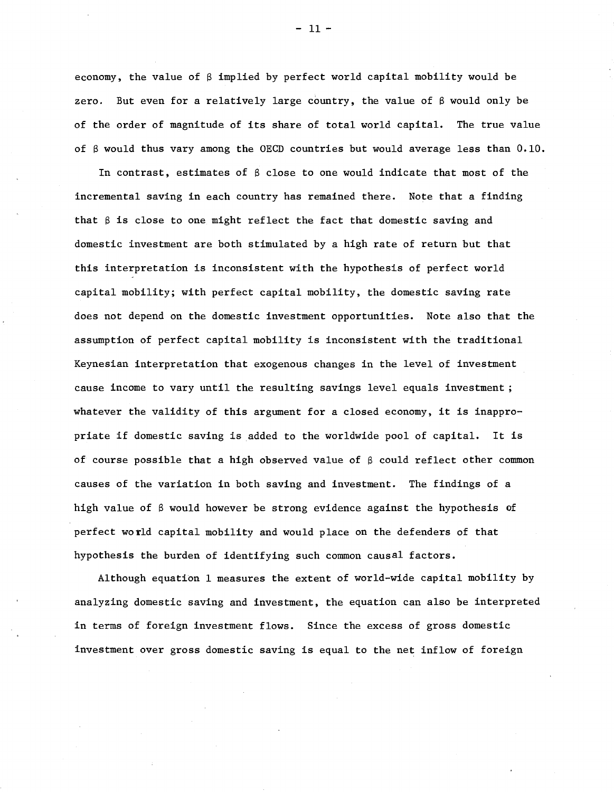economy, the value of  $\beta$  implied by perfect world capital mobility would be zero. But even for a relatively large country, the value of  $\beta$  would only be of the order of magnitude of its share of total world capital. The true value of S would thus vary among the *DEeD* countries but would average less than 0.10.

In contrast, estimates of  $\beta$  close to one would indicate that most of the incremental saving in each country has remained there. Note that a finding that  $\beta$  is close to one might reflect the fact that domestic saving and domestic investment are both stimulated by a high rate of return but that this interpretation is inconsistent with the hypothesis of perfect world capital mobility; with perfect capital mobility, the domestic saving rate does not depend on the domestic investment opportunities. Note also that the assumption of perfect capital mobility is inconsistent with the traditional Keynesian interpretation that exogenous changes in the level of investment cause income to vary until the resulting savings level equals investment; whatever the validity of this argument for <sup>a</sup> closed economy, it is inappropriate if domestic saving is added to the worldwide pool of capital. It is of course possible that a high observed value of  $\beta$  could reflect other common causes of the variation in both saving and investment. The findings of a high value of  $\beta$  would however be strong evidence against the hypothesis of perfect world capital mobility and would place on the defenders of that hypothesis the burden of identifying such common causal factors.

Although equation 1 measures the extent of world-wide capital mobility by analyzing domestic saving and investment, the equation can also be interpreted in terms of foreign investment flows. Since the excess of gross domestic investment over gross domestic saving is equal to the net inflow of foreign

 $-11 -$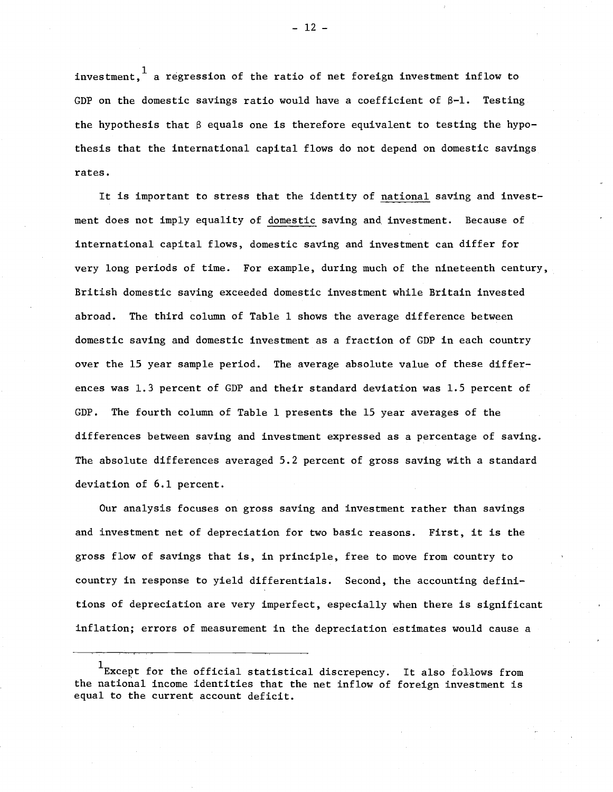investment.  $\frac{1}{1}$  a regression of the ratio of net foreign investment inflow to GDP on the domestic savings ratio would have a coefficient of  $\beta$ -1. Testing the hypothesis that  $\beta$  equals one is therefore equivalent to testing the hypothesis that the international capital flows do not depend on domestic savings rates.

It is important to stress that the identity of national saving and investment does not imply equality of domestic saving and investment. Because of international capital flows, domestic saving and investment can differ for very long periods of time. For example, during much of the nineteenth century, British domestic saving exceeded domestic investment while Britain invested abroad. The third column of Table 1 shows the average difference between domestic saving and domestic investment as a fraction of GDP in each country over the 15 year sample period. The average absolute value of these differences was 1.3 percent of GDP and their standard deviation was 1.5 percent of GDP. The fourth column of Table 1 presents the 15 year averages of the differences between saving and investment expressed as a percentage of saving. The absolute differences averaged 5.2 percent of gross saving with a standard deviation of 6.1 percent.

Our analysis focuses on gross saving and investment rather than savings and investment net of depreciation for two basic reasons. First, it is the gross flow of savings that is, in principle, free to move from country to country in response to yield differentials. Second, the accounting definitions of depreciation are very imperfect, especially when there is significant inflation; errors of measurement in the depreciation estimates would cause a

 $-12 -$ 

 $1$ Except for the official statistical discrepency. It also follows from the national income identities that the net inflow of foreign investment is equal to the current account deficit.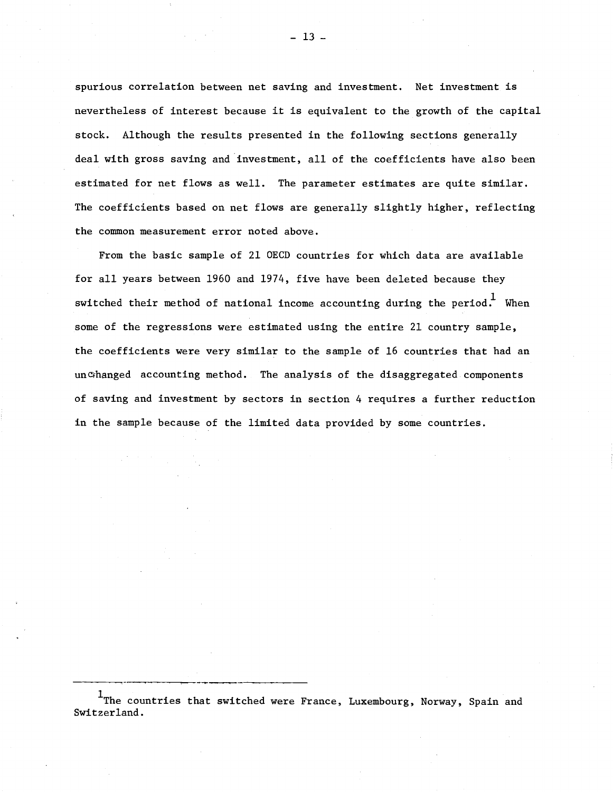spurious correlation between net saving and investment. Net investment is nevertheless of interest because it is equivalent to the growth of the capital stock. Although the results presented in the following sections generally deal with gross saving and investment, all of the coefficients have also been estimated for net flows as well. The parameter estimates are quite similar. The coefficients based on net flows are generally slightly higher, reflecting the common measurement error noted above.

From the basic sample of 21 OECD countries for which data are available for all years between 1960 and 1974, five have been deleted because they switched their method of national income accounting during the period.<sup>1</sup> When some of the regressions were estimated using the entire 21 country sample, the coefficients were very similar to the sample of 16 countries that had an un changed accounting method. The analysis of the disaggregated components of saving and investment by sectors in section 4 requires a further reduction in the sample because of the limited data provided by some countries.

 $^{\rm 1}$ The countries that switched were France, Luxembourg, Norway, Spain and Switzerland.

 $-13 -$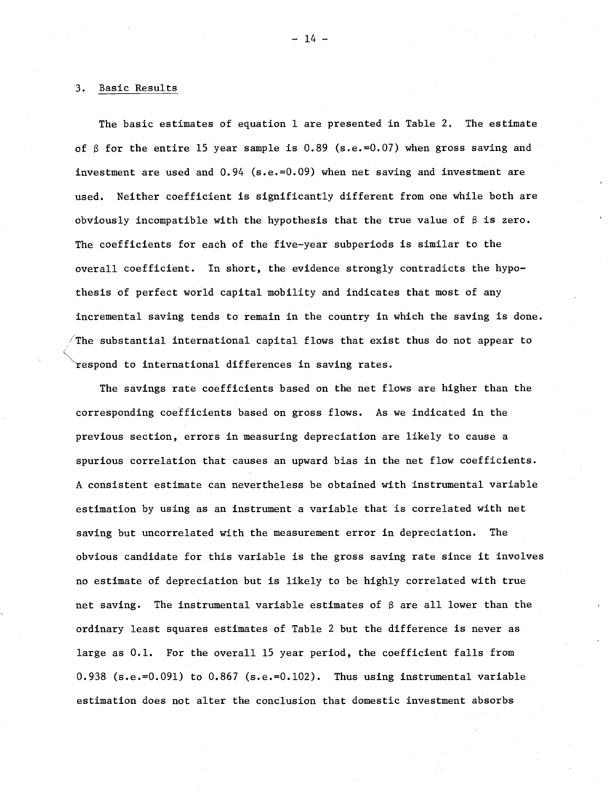#### 3. Basic Results

The basic estimates of equation 1 are presented in Table 2. The estimate of  $\beta$  for the entire 15 year sample is 0.89 (s.e.=0.07) when gross saving and investment are used and 0.94 (s.e.=0.09) when net saving and investment are used. Neither coefficient is significantly different from one while both are obviously incompatible with the hypothesis that the true value of *B* is zero. The coefficients for each of the five-year subperiods is similar to the overall coefficient. In short, the evidence strongly contradicts the hypothesis of perfect world capital mobility and indicates that most of any incremental saving tends to remain in the country in which the saving is done. The substantial international capital flows that exist thus do not appear to respond to international differences in saving rates.

The savings rate coefficients based on the net flows are higher than the corresponding coefficients based on gross flows. As we indicated in the previous section, errors in measuring depreciation are likely to cause a spurious correlation that causes an upward bias in the net flow coefficients. A consistent estimate can nevertheless be obtained with instrumental variable estimation by using as an instrument a variable that is correlated with net saving but uncorre1ated with the measurement error in depreciation. The obvious candidate for this variable is the gross saving rate since it involves no estimate of depreciation but is likely to be highly correlated with true net saving. The instrumental variable estimates of *B* are all lower than the ordinary least squares estimates of Table 2 but the difference is never as large as 0.1. For the overall 15 year period, the coefficient falls from 0.938 (s.e.=0.091) to 0.867 (s.e.=0.102). Thus using instrumental variable estimation does not alter the conclusion that domestic investment absorbs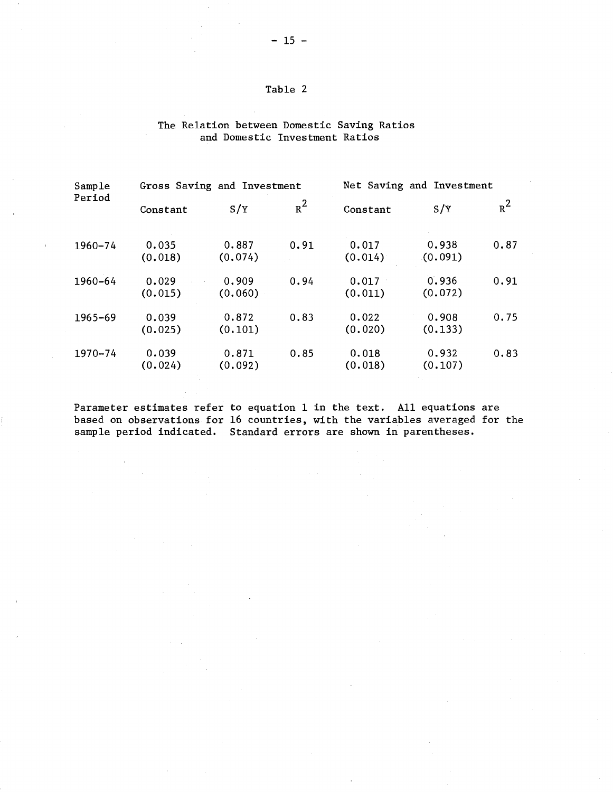# Table 2

## The Relation between Domestic Saving Ratios and Domestic Investment Ratios

| Sample<br>Period | Gross Saving and Investment |                  |       | Net Saving and Investment |                  |       |
|------------------|-----------------------------|------------------|-------|---------------------------|------------------|-------|
|                  | Constant                    | S/Y              | $R^2$ | Constant                  | S/Y              | $R^2$ |
| 1960-74          | 0.035<br>(0.018)            | 0.887<br>(0.074) | 0.91  | 0.017<br>(0.014)          | 0.938<br>(0.091) | 0.87  |
| 1960-64          | 0.029<br>(0.015)            | 0.909<br>(0.060) | 0.94  | 0.017<br>(0.011)          | 0.936<br>(0.072) | 0.91  |
| $1965 - 69$      | 0.039<br>(0.025)            | 0.872<br>(0.101) | 0.83  | 0.022<br>(0.020)          | 0.908<br>(0.133) | 0.75  |
| 1970-74          | 0.039<br>(0.024)            | 0.871<br>(0.092) | 0.85  | 0.018<br>(0.018)          | 0.932<br>(0.107) | 0.83  |

Parameter estimates refer to equation 1 in the text. All equations are based on observations for 16 countries, with the variables averaged for the sample period indicated. Standard errors are shown in parentheses.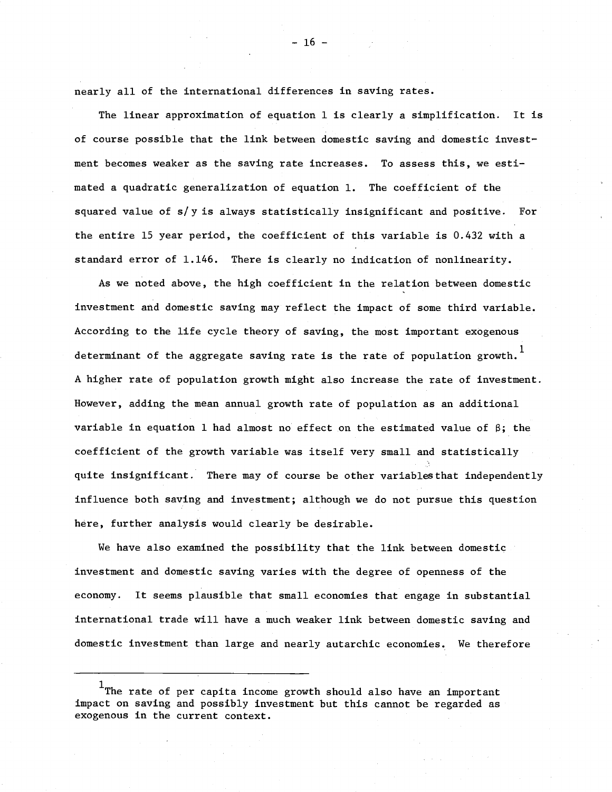nearly all of the international differences in saving rates.

The linear approximation of equation <sup>1</sup> is clearly <sup>a</sup> simplification. It is of course possible that the link between domestic saving and domestic investment becomes weaker as the saving rate increases. To assess this, we estimated a quadratic generalization of equation 1. The coefficient of the squared value of *sly* is always statistically insignificant and positive. For the entire 15 year period, the coefficient of this variable is 0.432 with a standard error of 1.146. There is clearly no indication of nonlinearity.

As we noted above, the high coefficient in the relation between domestic investment and domestic saving may reflect the impact of some third variable. According to the life cycle theory of saving, the most important exogenous determinant of the aggregate saving rate is the rate of population growth.<sup>1</sup> A higher rate of population growth might also increase the rate of investment. However, adding the mean annual growth rate of population as an additional variable in equation 1 had almost no effect on the estimated value of  $\beta$ ; the coefficient of the growth variable was itself very small and statistically quite insignificant. There may of course be other variablesthat independently influence both saving and investment; although we do not pursue this question here, further analysis would clearly be desirable.

We have also examined the possibility that the link between domestic investment and domestic saving varies with the degree of openness of the economy. It seems plausible that small economies that engage in substantial international trade will have a much weaker link between domestic saving and domestic investment than large and nearly autarchic economies. We therefore

 $-16 -$ 

 $^{\rm 1}$ The rate of per capita income growth should also have an important impact on saving and possibly investment but this cannot be regarded as exogenous in the current context.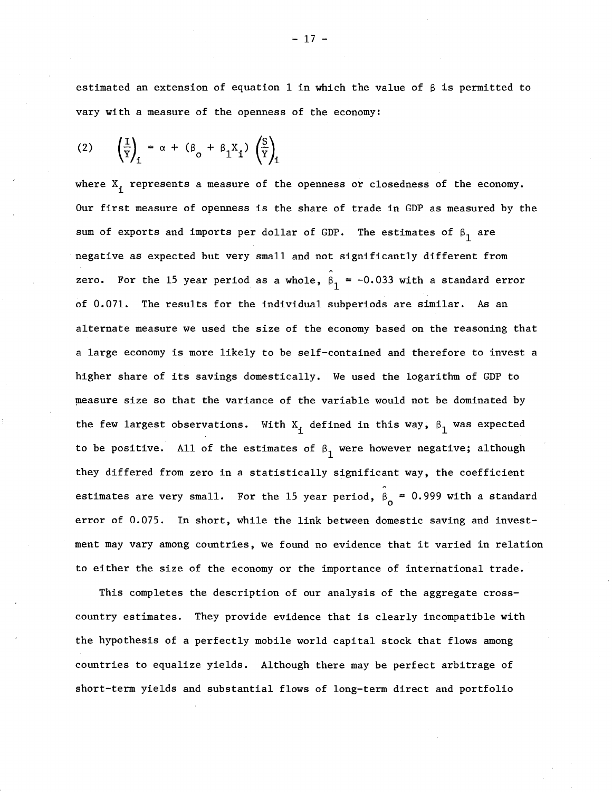estimated an extension of equation 1 in which the value of  $\beta$  is permitted to vary with a measure of the openness of the economy:

$$
(2) \qquad \left(\frac{I}{Y}\right)_{i} = \alpha + (\beta_{0} + \beta_{1}X_{i}) \left(\frac{S}{Y}\right)_{i}
$$

where  $X_i$  represents a measure of the openness or closedness of the economy. Our first measure of openness is the share of trade in GDP as measured by the sum of exports and imports per dollar of GDP. The estimates of  $\beta_{1}^{}$  are negative as expected but very small and not significantly different from zero. For the 15 year period as a whole,  $\beta_1 = -0.033$  with a standard error of 0.071. The results for the individual subperiods are similar. As an alternate measure we used the size of the economy based on the reasoning that a large economy is more likely to be self-contained and therefore to invest a higher share of its savings domestically. We used the logarithm of GDP to measure size so that the variance of the variable would not be dominated by the few largest observations. With  $\mathtt{X_i}$  defined in this way,  $\mathtt{\beta}_1$  was expected to be positive. All of the estimates of  $\beta_{1}$  were however negative; although they differed from zero in a statistically significant way, the coefficient estimates are very small. For the 15 year period,  $\hat{\beta}_{\text{o}} = 0.999$  with a standard error of 0.075. In short, while the link between domestic saving and investment may vary among countries, we found no evidence that it varied in relation to either the size of the economy or the importance of international trade.

This completes the description of our analysis of the aggregate crosscountry estimates. They provide evidence that is clearly incompatible with the hypothesis of a perfectly mobile world capital stock that flows among countries to equalize yields. Although there may be perfect arbitrage of short-term yields and substantial flows of long-term direct and portfolio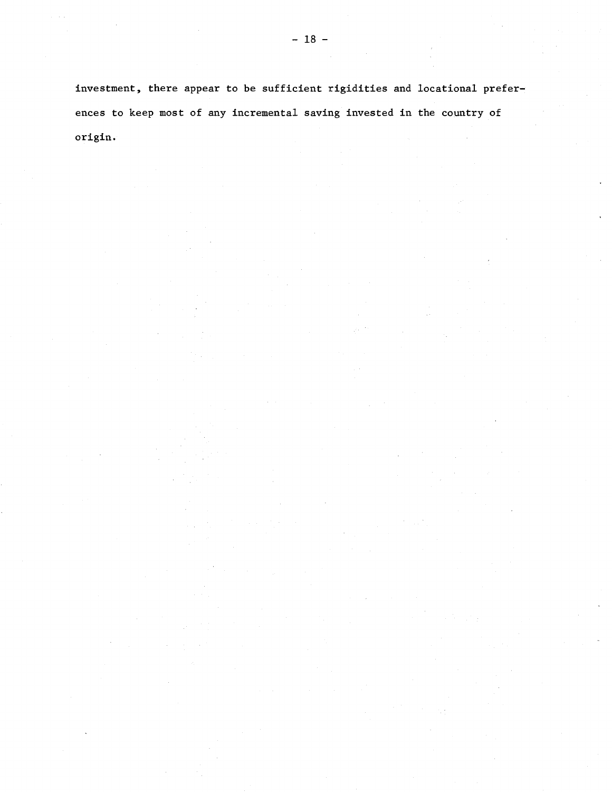investment, there appear to be sufficient rigidities and locational preferences to keep most of any incremental saving invested in the country of origin.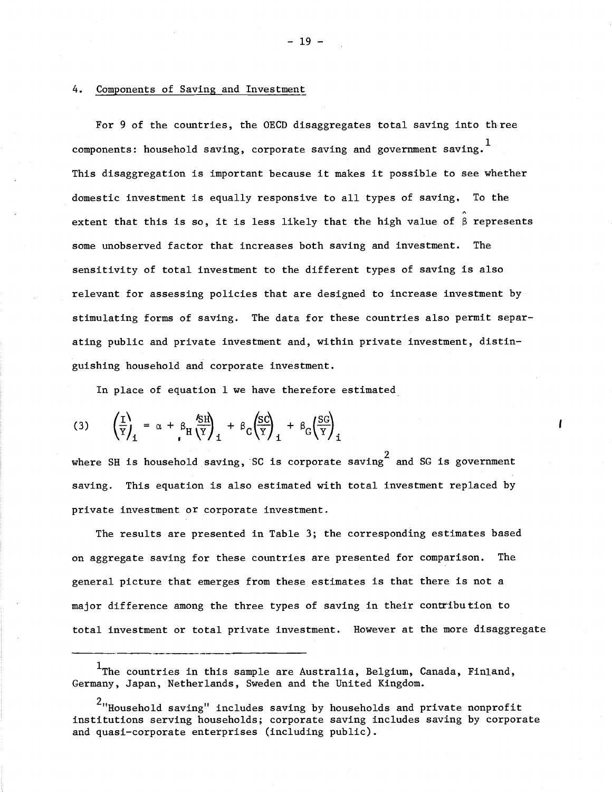#### 4. Components of Saving and Investment

For 9 of the countries, the OECD disaggregates total saving into three components: household saving, corporate saving and government saving.  $^{\mathrm{1}}$ This disaggregation is important because it makes it possible to see whether domestic investment is equally responsive to all types of saving. To the extent that this is so, it is less likely that the high value of  $\beta$  represents some unobserved factor that increases both saving and investment. The sensitivity of total investment to the different types of saving is also relevant for assessing policies that are designed to increase investment by stimulating forms of saving. The data for these countries also permit separating public and private investment and, within private investment, distinguishing household and corporate investment.

In place of equation 1 we have therefore estimated

$$
(3) \qquad \left(\frac{I}{Y}\right)_1 = \alpha + \beta_H \frac{\delta H}{Y}\right)_1 + \beta_C \left(\frac{SC}{Y}\right)_1 + \beta_G \left(\frac{SC}{Y}\right)_1
$$

where SH is household saving, SC is corporate saving  $\frac{2}{3}$  and SG is government saving. This equation is also estimated with total investment replaced by private investment or corporate investment.

The results are presented in Table 3; the corresponding estimates based on aggregate saving for these countries are presented for comparison. The general picture that emerges from these estimates is that there is not a major difference among the three types of saving in their contribution to total investment or total private investment. However at the more disaggregate ---\_.\_-\_..\_----

The countries in this sample are Australia, Belgium, Canada, Finland, Germany, Japan, Netherlands, Sweden and the United Kingdom.

 $^2$ "Household saving" includes saving by households and private nonprofit institutions serving households; corporate saving includes saving by corporate and quasi-corporate enterprises (including public).

 $-19 -$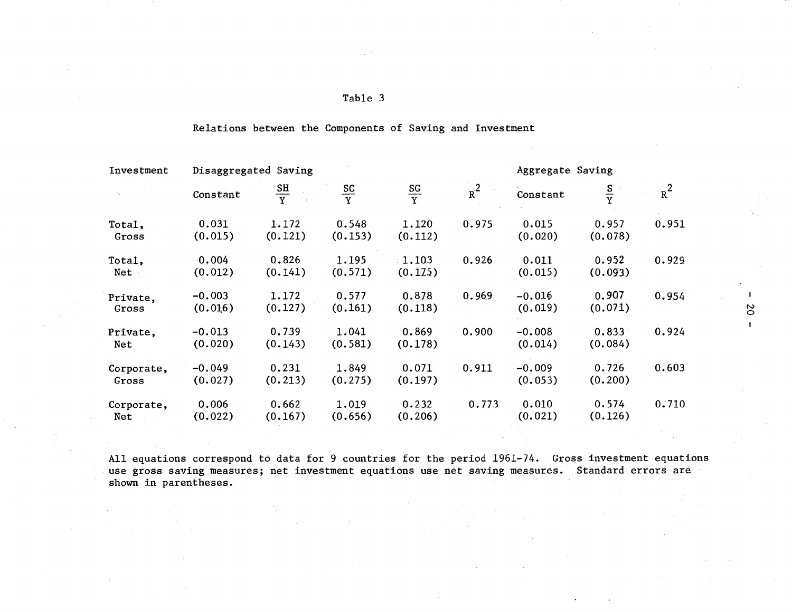| ъ.<br>- 11 |  |
|------------|--|
|------------|--|

| Investment          | Disaggregated Saving |                  |                  | Aggregate Saving |       |                     |                  |       |  |
|---------------------|----------------------|------------------|------------------|------------------|-------|---------------------|------------------|-------|--|
|                     | Constant             | $rac{SH}{Y}$     | $rac{SC}{Y}$     | $rac{SG}{Y}$     | $R^2$ | Constant            | $rac{S}{Y}$      | $R^2$ |  |
| Total,<br>Gross     | 0.031<br>(0.015)     | 1.172<br>(0.121) | 0.548<br>(0.153) | 1.120<br>(0.112) | 0.975 | 0.015<br>(0.020)    | 0.957<br>(0.078) | 0.951 |  |
| Total,<br>Net       | $-0.004$<br>(0.012)  | 0.826<br>(0.141) | 1.195<br>(0.571) | 1.103<br>(0.175) | 0.926 | 0.011<br>(0.015)    | 0.952<br>(0.093) | 0.929 |  |
| Private,<br>Gross   | $-0.003$<br>(0.016)  | 1.172<br>(0.127) | 0.577<br>(0.161) | 0.878<br>(0.118) | 0.969 | $-0.016$<br>(0.019) | 0.907<br>(0.071) | 0.954 |  |
| Private,<br>Net     | $-0.013$<br>(0.020)  | 0.739<br>(0.143) | 1.041<br>(0.581) | 0.869<br>(0.178) | 0.900 | $-0.008$<br>(0.014) | 0.833<br>(0.084) | 0.924 |  |
| Corporate,<br>Gross | $-0.049$<br>(0.027)  | 0.231<br>(0.213) | 1.849<br>(0.275) | 0.071<br>(0.197) | 0.911 | $-0.009$<br>(0.053) | 0.726<br>(0.200) | 0.603 |  |
| Corporate,<br>Net   | 0.006<br>(0.022)     | 0.662<br>(0.167) | 1.019<br>(0.656) | 0.232<br>(0.206) | 0.773 | 0.010<br>(0.021)    | 0.574<br>(0.126) | 0.710 |  |

Relations between the Components of Saving and Investment

All equations correspond to data for 9 countries for the period 1961-74. Gross investment equations use gross saving measures; net investment equations use net saving measures. Standard errors are shown in parentheses.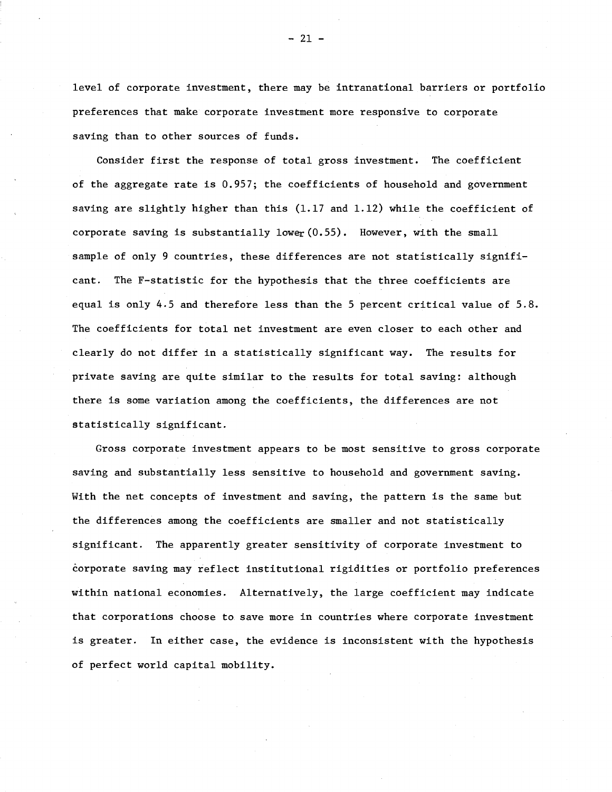level of corporate investment, there may be intranational barriers or portfolio preferences that make corporate investment more responsive to corporate saving than to other sources of funds.

Consider first the response of total gross investment. The coefficient of the aggregate rate is 0.957; the coefficients of household and government saving are slightly higher than this (1.17 and 1.12) while the coefficient of corporate saving is substantially lower  $(0.55)$ . However, with the small sample of only 9 countries, these differences are not statistically significant. The F-statistic for the hypothesis that the three coefficients are equal is only 4.5 and therefore less than the 5 percent critical value of 5.8. The coefficients for total net investment are even closer to each other and clearly do not differ in a statistically significant way. The results for private saving are quite similar to the results for total saving: although there is some variation among the coefficients, the differences are not statistically significant.

Gross corporate investment appears to be most sensitive to gross corporate saving and substantially less sensitive to household and government saving. With the net concepts of investment and saving, the pattern is the same but the differences among the coefficients are smaller and not statistically significant. The apparently greater sensitivity of corporate investment to corporate saving may reflect institutional rigidities or portfolio preferences within national economies. Alternatively, the large coefficient may indicate that corporations choose to save more in countries where corporate investment is greater. In either case, the evidence is inconsistent with the hypothesis of perfect world capital mobility.

- 21 -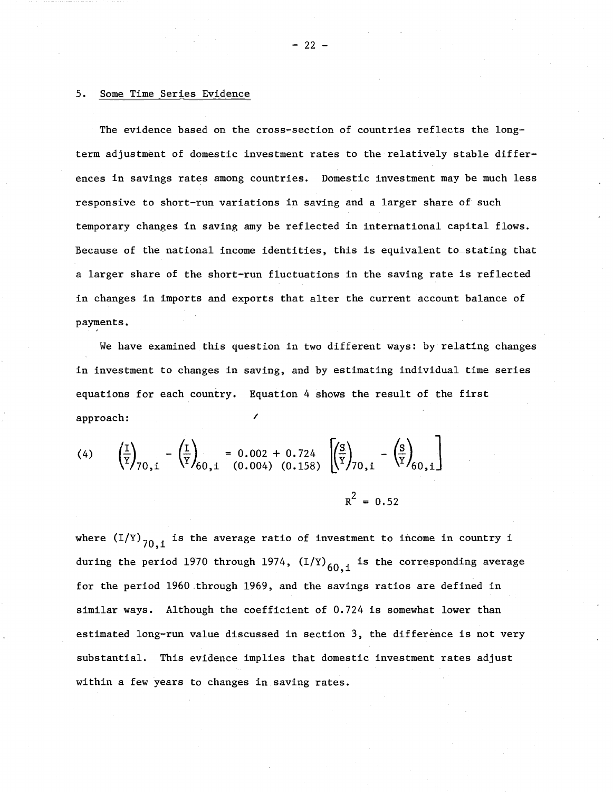## 5. Some Time Series Evidence

The evidence based on the cross-section of countries reflects the longterm adjustment of domestic investment rates to the relatively stable differences in savings rates among countries. Domestic investment may be much less responsive to short-run variations in saving and a larger share of such temporary changes in saving amy be reflected in international capital flows. Because of the national income identities, this is equivalent to stating that a larger share of the short-run fluctuations in the saving rate is reflected in changes in imports and exports that alter the current account balance of payments. ,

We have examined this question in two different ways: by relating changes in investment to changes in saving, and by estimating individual time series equations for each country. Equation 4 shows the result of the first approach: <sup>I</sup>

(4) 
$$
\left(\frac{1}{Y}\right)_{70,1} - \left(\frac{1}{Y}\right)_{60,1} = 0.002 + 0.724 \left[\left(\frac{S}{Y}\right)_{70,1} - \left(\frac{S}{Y}\right)_{60,1}\right]
$$
  
 $R^2 = 0.52$ 

where  $(I/Y)_{70,i}$  is the average ratio of investment to income in country i during the period 1970 through 1974,  $(I/Y)_{60,1}$  is the corresponding average for the period 1960.through 1969, and the savings ratios are defined in similar ways. Although the coefficient of 0.724 is somewhat lower than estimated long-run value discussed in section 3, the difference is not very substantial. This evidence implies that domestic investment rates adjust within a few years to changes in saving rates.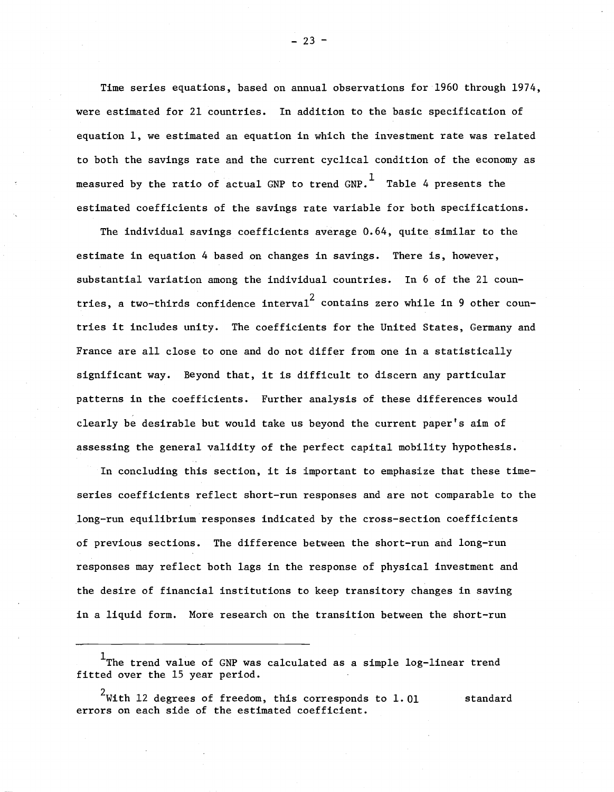Time series equations, based on annual observations for 1960 through  $1974$ , were estimated for 21 countries. In addition to the basic specification of equation 1, we estimated an equation in which the investment rate was related to both the savings rate and the current cyclical condition of the economy as measured by the ratio of actual GNP to trend GNP. Table 4 presents the estimated coefficients of the savings rate variable for both specifications.

The individual savings coefficients average 0.64, quite similar to the estimate in equation 4 based on changes in savings. There is, however, substantial variation among the individual countries. In 6 of the 21 countries, a two-thirds confidence interval<sup>2</sup> contains zero while in 9 other countries it includes unity. The coefficients for the United States, Germany and France are all close to one and do not differ from one in a statistically significant way. Beyond that, it is difficult to discern any particular patterns in the coefficients. Further analysis of these differences would clearly be desirable but would take us beyond the current paper's aim of assessing the general validity of the perfect capital mobility hypothesis.

In concluding this section, it is important to emphasize that these timeseries coefficients reflect short-run responses and are not comparable to the long-run equilibrium responses indicated by the cross-section coefficients of previous sections. The difference between the short-run and long-run responses may reflect both lags in the response of physical investment and the desire of financial institutions to keep transitory changes in saving in a liquid form. More research on the transition between the short-run

 $- 23 -$ 

 $^{\rm 1}$ The trend value of GNP was calculated as a simple log-linear trend fitted over the 15 year period.

 $^2$ With  $12$  degrees of freedom, this corresponds to  $1$ . $01$  standard errors on each side of the estimated coefficient.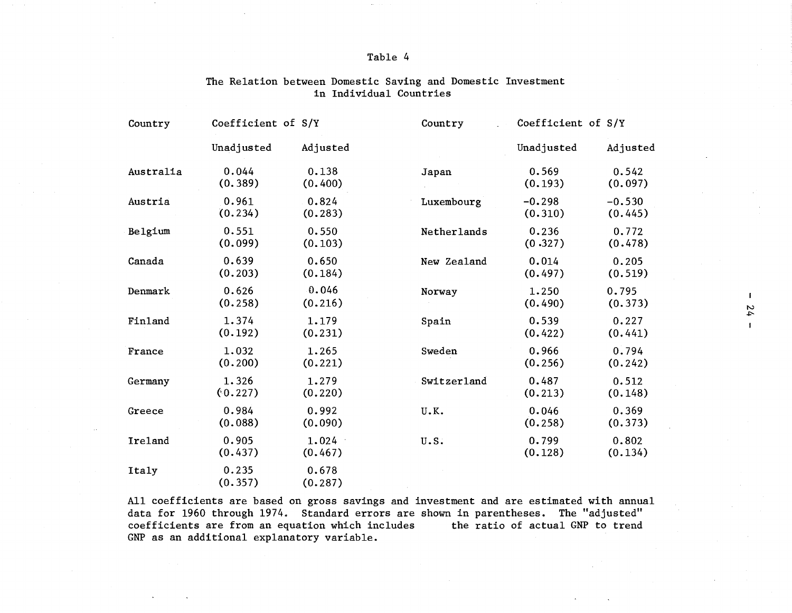## Table 4

| Country   | Coefficient of S/Y |                  | Country     | Coefficient of S/Y  |                     |
|-----------|--------------------|------------------|-------------|---------------------|---------------------|
|           | Unadjusted         | Adjusted         |             | Unadjusted          | Adjusted            |
| Australia | 0.044<br>(0.389)   | 0.138<br>(0.400) | Japan       | 0.569<br>(0.193)    | 0.542<br>(0.097)    |
| Austria   | 0.961<br>(0.234)   | 0.824<br>(0.283) | Luxembourg  | $-0.298$<br>(0.310) | $-0.530$<br>(0.445) |
| Belgium   | 0.551<br>(0.099)   | 0.550<br>(0.103) | Netherlands | 0.236<br>(0.327)    | 0.772<br>(0.478)    |
| Canada    | 0.639<br>(0.203)   | 0.650<br>(0.184) | New Zealand | 0.014<br>(0.497)    | 0.205<br>(0.519)    |
| Denmark   | 0.626<br>(0.258)   | 0.046<br>(0.216) | Norway      | 1.250<br>(0.490)    | 0.795<br>(0.373)    |
| Finland   | 1.374<br>(0.192)   | 1.179<br>(0.231) | Spain       | 0.539<br>(0.422)    | 0.227<br>(0.441)    |
| France    | 1.032<br>(0.200)   | 1.265<br>(0.221) | Sweden      | 0.966<br>(0.256)    | 0.794<br>(0.242)    |
| Germany   | 1.326<br>(0.227)   | 1.279<br>(0.220) | Switzerland | 0.487<br>(0.213)    | 0.512<br>(0.148)    |
| Greece    | 0.984<br>(0.088)   | 0.992<br>(0.090) | U.K.        | 0.046<br>(0.258)    | 0.369<br>(0.373)    |
| Ireland   | 0.905<br>(0.437)   | 1.024<br>(0.467) | U.S.        | 0.799<br>(0.128)    | 0.802<br>(0.134)    |
| Italy     | 0.235<br>(0.357)   | 0.678<br>(0.287) |             |                     |                     |

## The Relation between Domestic Saving and Domestic Investment in Individual Countries

All coefficients are based on gross savings and investment and are estimated with annual data for 1960 through 1974. Standard errors are shown in parentheses. The "adjusted"<br>coefficients are from an equation which includes the ratio of actual GNP to trend coefficients are from an equation which includes GNP as an additional explanatory variable.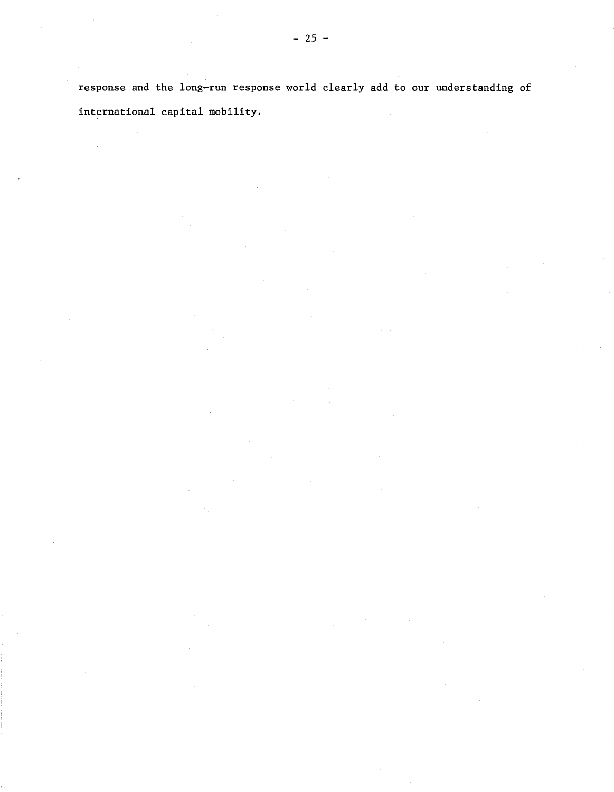response and the long-run response world clearly add to our understanding of international capital mobility.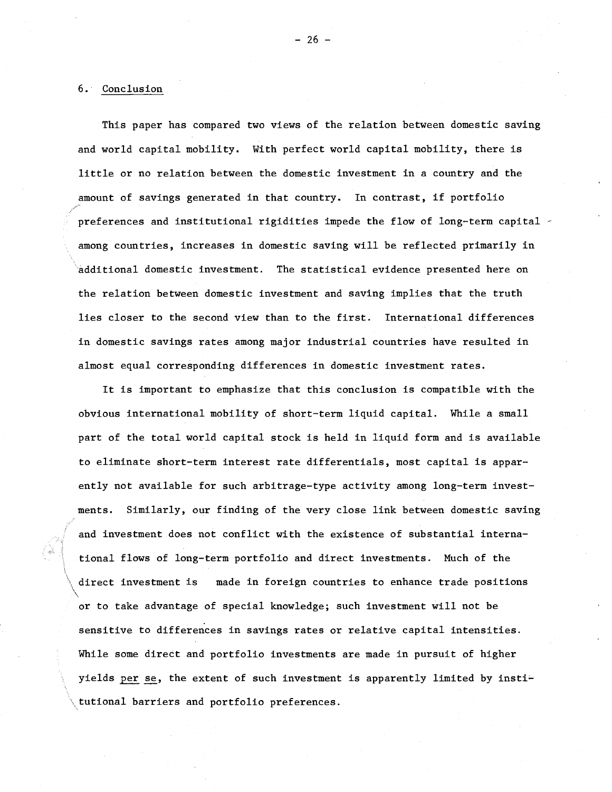### 6. Conclusion

This paper has compared two views of the relation between domestic saving and world capital mobility. With perfect world capital mobility, there is little or no relation between the domestic investment in <sup>a</sup> country and the amount of savings generated in that country. In contrast, if portfolio preferences and institutional rigidities impede the flow of long-term capital  $\leq$ among countries, increases in domestic saving will be reflected primarily in additional domestic investment. The statistical evidence presented here on the relation between domestic investment and saving implies that the truth lies closer to the second view than to the first. International differences in domestic savings rates among major industrial countries have resulted in almost equal corresponding differences in domestic investment rates.

It is important to emphasize that this conclusion is compatible with the obvious international mobility of short-term liquid capital. While a small part of the total world capital stock is held in liquid form and is available to eliminate short-term interest rate differentials, most capital is apparently not available for such arbitrage-type activity among long-term investments. Similarly, our finding of the very close link between domestic saving and investment does not conflict with the existence of substantial international flows of long-term portfolio and direct investments. Much of the direct investment is made in foreign countries to enhance trade positions or to take advantage of special knowledge; such investment will not be sensitive to differences in savings rates or relative capital intensities. While some direct and portfolio investments are made in pursuit of higher yields per se, the extent of such investment is apparently limited by institutional barriers and portfolio preferences.

- 26 -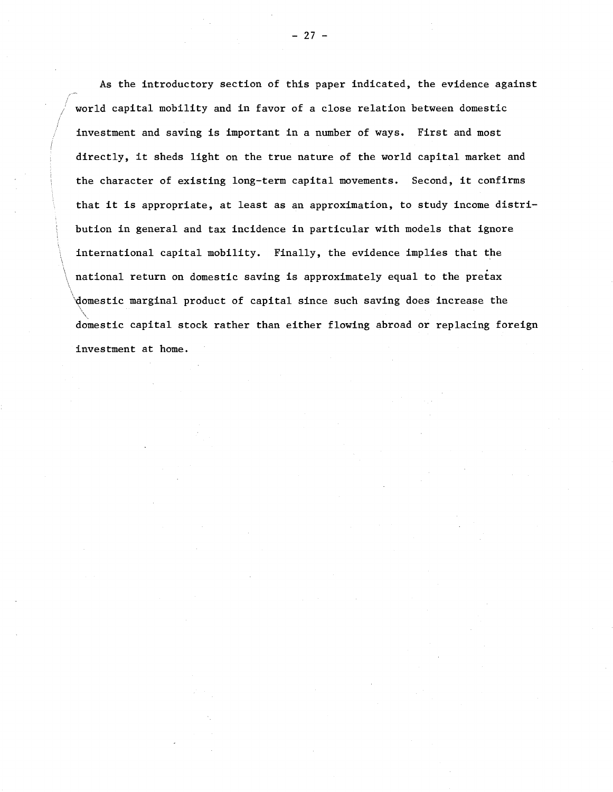As the introductory section of this paper indicated, the evidence against world capital mobility and in favor of a close relation between domestic investment and saving is important in a number of ways. First and most directly, it sheds light on the true nature of the world capital market and the character of existing long-term capital movements. Second, it confirms that it is appropriate, at least as an approximation, to study income distribution in general and tax incidence in particular with models that ignore international capital mobility. Finally, the evidence implies that the \ national return on domestic saving is approximately equal to the pretax domestic marginal product of capital since such saving does increase the  $\ddot{\phantom{1}}$ domestic capital stock rather than either flowing abroad or replacing foreign investment at home.

 $\mathbf{A}$